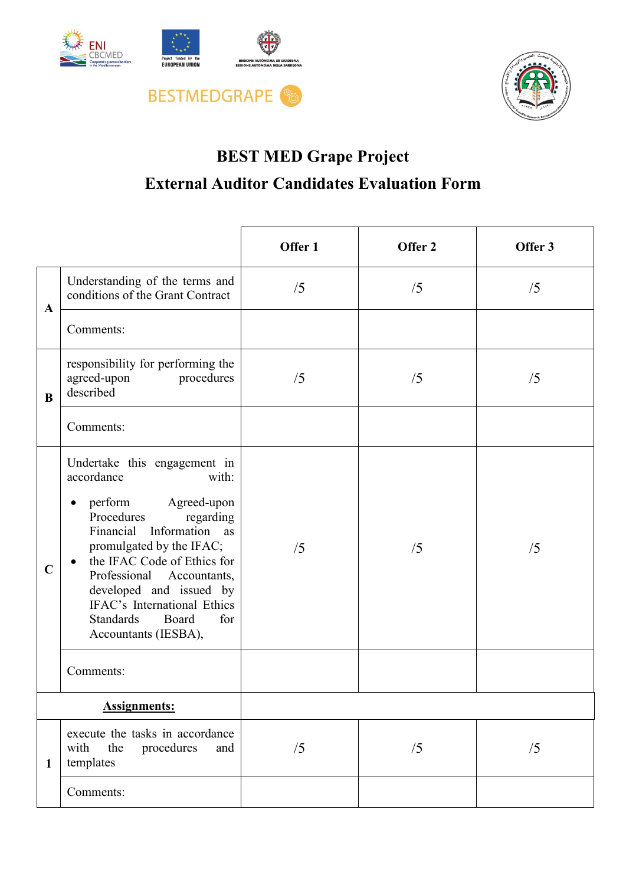





## **BEST MED Grape Project External Auditor Candidates Evaluation Form**

|                     |                                                                                                                                                                                                                                                                                                                                                                 | Offer 1 | Offer 2 | Offer 3 |
|---------------------|-----------------------------------------------------------------------------------------------------------------------------------------------------------------------------------------------------------------------------------------------------------------------------------------------------------------------------------------------------------------|---------|---------|---------|
| A                   | Understanding of the terms and<br>conditions of the Grant Contract                                                                                                                                                                                                                                                                                              | /5      | /5      | /5      |
|                     | Comments:                                                                                                                                                                                                                                                                                                                                                       |         |         |         |
| B                   | responsibility for performing the<br>agreed-upon<br>procedures<br>described                                                                                                                                                                                                                                                                                     | /5      | /5      | /5      |
|                     | Comments:                                                                                                                                                                                                                                                                                                                                                       |         |         |         |
| $\mathbf C$         | Undertake this engagement in<br>accordance<br>with:<br>Agreed-upon<br>perform<br>$\bullet$<br>Procedures<br>regarding<br>Financial Information as<br>promulgated by the IFAC;<br>the IFAC Code of Ethics for<br>Professional Accountants,<br>developed and issued by<br>IFAC's International Ethics<br><b>Standards</b><br>Board<br>for<br>Accountants (IESBA), | /5      | /5      | /5      |
|                     | Comments:                                                                                                                                                                                                                                                                                                                                                       |         |         |         |
| <b>Assignments:</b> |                                                                                                                                                                                                                                                                                                                                                                 |         |         |         |
| 1                   | execute the tasks in accordance<br>procedures<br>with<br>the<br>and<br>templates                                                                                                                                                                                                                                                                                | /5      | /5      | /5      |
|                     | Comments:                                                                                                                                                                                                                                                                                                                                                       |         |         |         |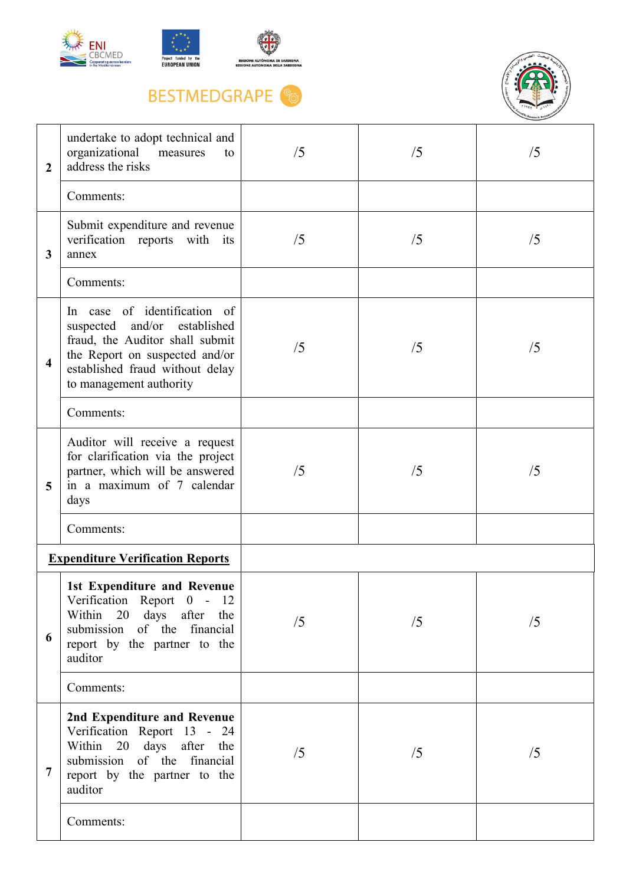





## **BESTMEDGRAPE**



| $\overline{2}$          | undertake to adopt technical and<br>organizational<br>measures<br>to<br>address the risks                                                                                                             | /5 | /5 | /5 |
|-------------------------|-------------------------------------------------------------------------------------------------------------------------------------------------------------------------------------------------------|----|----|----|
|                         | Comments:                                                                                                                                                                                             |    |    |    |
| 3                       | Submit expenditure and revenue<br>verification reports with its<br>annex                                                                                                                              | /5 | /5 | /5 |
|                         | Comments:                                                                                                                                                                                             |    |    |    |
| $\overline{\mathbf{4}}$ | In case of identification of<br>and/or<br>established<br>suspected<br>fraud, the Auditor shall submit<br>the Report on suspected and/or<br>established fraud without delay<br>to management authority | /5 | /5 | /5 |
|                         | Comments:                                                                                                                                                                                             |    |    |    |
| 5                       | Auditor will receive a request<br>for clarification via the project<br>partner, which will be answered<br>in a maximum of 7 calendar<br>days                                                          | /5 | /5 | /5 |
|                         | Comments:                                                                                                                                                                                             |    |    |    |
|                         | <b>Expenditure Verification Reports</b>                                                                                                                                                               |    |    |    |
| 6                       | 1st Expenditure and Revenue<br>Verification Report 0 - 12<br>Within<br>20 days after the<br>submission of the financial<br>report by the partner to the<br>auditor                                    | /5 | /5 | /5 |
|                         | Comments:                                                                                                                                                                                             |    |    |    |
| 7                       | 2nd Expenditure and Revenue<br>Verification Report 13 - 24<br>Within 20 days after the<br>submission<br>of the financial<br>report by the partner to the<br>auditor                                   | /5 | /5 | /5 |
|                         | Comments:                                                                                                                                                                                             |    |    |    |